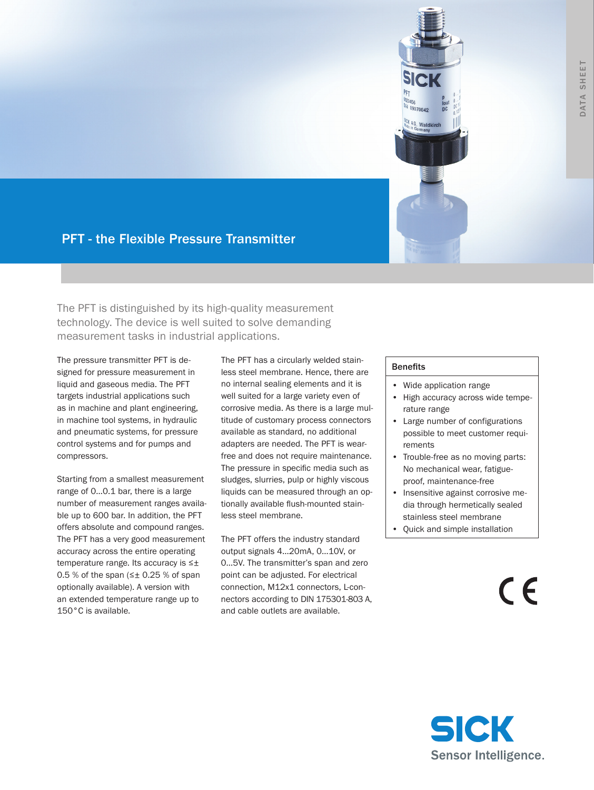

# PFT - the Flexible Pressure Transmitter

The PFT is distinguished by its high-quality measurement technology. The device is well suited to solve demanding measurement tasks in industrial applications.

The pressure transmitter PFT is designed for pressure measurement in liquid and gaseous media. The PFT targets industrial applications such as in machine and plant engineering, in machine tool systems, in hydraulic and pneumatic systems, for pressure control systems and for pumps and compressors.

Starting from a smallest measurement range of 0…0.1 bar, there is a large number of measurement ranges available up to 600 bar. In addition, the PFT offers absolute and compound ranges. The PFT has a very good measurement accuracy across the entire operating temperature range. Its accuracy is ≤± 0.5 % of the span ( $\leq \pm$  0.25 % of span optionally available). A version with an extended temperature range up to 150°C is available.

The PFT has a circularly welded stainless steel membrane. Hence, there are no internal sealing elements and it is well suited for a large variety even of corrosive media. As there is a large multitude of customary process connectors available as standard, no additional adapters are needed. The PFT is wearfree and does not require maintenance. The pressure in specific media such as sludges, slurries, pulp or highly viscous liquids can be measured through an optionally available flush-mounted stainless steel membrane.

The PFT offers the industry standard output signals 4…20mA, 0…10V, or 0…5V. The transmitter's span and zero point can be adjusted. For electrical connection, M12x1 connectors, L-connectors according to DIN 175301-803 A, and cable outlets are available.

#### **Benefits**

- • Wide application range
- High accuracy across wide temperature range
- Large number of configurations possible to meet customer requirements
- Trouble-free as no moving parts: No mechanical wear, fatigueproof, maintenance-free
- Insensitive against corrosive media through hermetically sealed stainless steel membrane
- Quick and simple installation

 $\epsilon$ 

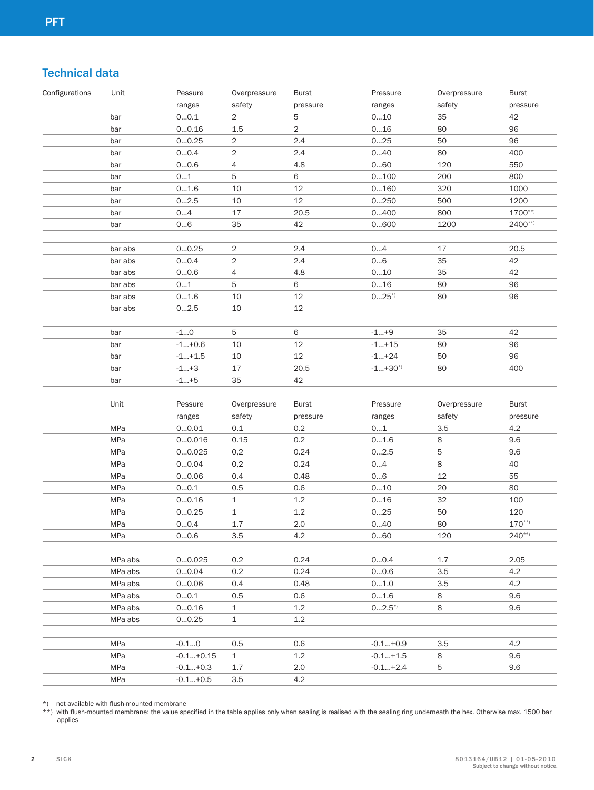# Technical data

| Configurations | Unit       | Pessure                  | Overpressure   | <b>Burst</b>   | Pressure   | Overpressure | <b>Burst</b> |
|----------------|------------|--------------------------|----------------|----------------|------------|--------------|--------------|
|                |            | ranges                   | safety         | pressure       | ranges     | safety       | pressure     |
|                | bar        | 00.1                     | $\overline{2}$ | $\mathbf 5$    | 010        | 35           | 42           |
|                | bar        | 00.16                    | 1.5            | $\overline{a}$ | 016        | 80           | 96           |
|                | bar        | 00.25                    | $\overline{c}$ | 2.4            | 025        | 50           | 96           |
|                | bar        | 00.4                     | $\overline{c}$ | 2.4            | 040        | 80           | 400          |
|                | bar        | 00.6                     | 4              | 4.8            | 060        | 120          | 550          |
|                | bar        | 01                       | $\mathbf 5$    | 6              | 0100       | 200          | 800          |
|                | bar        | 01.6                     | 10             | 12             | 0160       | 320          | 1000         |
|                | bar        | 02.5                     | 10             | 12             | 0250       | 500          | 1200         |
|                | bar        | 04                       | 17             | 20.5           | 0400       | 800          | $1700***$    |
|                | bar        | 06                       | 35             | 42             | 0600       | 1200         | $2400***$    |
|                |            |                          |                |                |            |              |              |
|                | bar abs    | 00.25                    | $\sqrt{2}$     | 2.4            | 04         | 17           | 20.5         |
|                | bar abs    | 00.4                     | $\overline{c}$ | 2.4            | 06         | 35           | 42           |
|                | bar abs    | 00.6                     | 4              | 4.8            | 010        | 35           | 42           |
|                | bar abs    | 01                       | $\mathbf 5$    | 6              | 016        | 80           | 96           |
|                | bar abs    | 01.6                     | 10             | 12             | $025^{*}$  | 80           | 96           |
|                | bar abs    | 02.5                     | 10             | 12             |            |              |              |
|                |            |                          |                |                |            |              |              |
|                | bar        | $-10$                    | $\mathbf 5$    | 6              | $-1+9$     | 35           | 42           |
|                | bar        | $-1+0.6$                 | 10             | 12             | $-1+15$    | 80           | 96           |
|                | bar        | $-1+1.5$                 | 10             | 12             | $-1+24$    | 50           | 96           |
|                | bar        | $-1+3$                   | 17             | 20.5           | $-1+30"$   | 80           | 400          |
|                | bar        | $-1+5$                   | 35             | 42             |            |              |              |
|                |            |                          |                |                |            |              |              |
|                | Unit       | Pessure                  | Overpressure   | <b>Burst</b>   | Pressure   | Overpressure | <b>Burst</b> |
|                |            | ranges                   | safety         | pressure       | ranges     | safety       | pressure     |
|                | MPa        | 00.01                    | 0.1            | 0.2            | 01         | 3.5          | 4.2          |
|                | MPa        | 00.016                   | 0.15           | 0.2            | 01.6       | 8            | 9.6          |
|                | MPa        | 00.025                   | 0,2            | 0.24           | 02.5       | 5            | 9.6          |
|                | MPa        | 00.04                    | 0,2            | 0.24           | 04         | 8            | 40           |
|                | MPa        | 00.06                    | 0.4            |                |            |              | 55           |
|                | MPa        |                          |                | 0.48           | 06         | 12           |              |
|                |            | 00.1                     | 0.5            | 0.6            | 010        | 20           | 80           |
|                | MPa        | 00.16                    | $\mathbf 1$    | $1.2\,$        | 016        | 32           | 100          |
|                | MPa        | 00.25                    | $\mathbf 1$    | $1.2\,$        | 025        | 50           | 120          |
|                | MPa        | 00.4                     | $1.7\,$        | $2.0\,$        | 040        | 80           | $170***$     |
|                | MPa        | 00.6                     | 3.5            | 4.2            | 060        | 120          | $240***$     |
|                |            |                          |                |                |            |              |              |
|                | MPa abs    | 00.025                   | 0.2            | 0.24           | 00.4       | 1.7          | 2.05         |
|                | MPa abs    | 00.04                    | 0.2            | 0.24           | 00.6       | 3.5          | 4.2          |
|                | MPa abs    | 00.06                    | 0.4            | 0.48           | 01.0       | 3.5          | 4.2          |
|                | MPa abs    | 00.1                     | 0.5            | 0.6            | 01.6       | 8            | 9.6          |
|                | MPa abs    | 00.16                    | $\mathbf{1}$   | 1.2            | $02.5^{*}$ | 8            | 9.6          |
|                | MPa abs    | 00.25                    | $\mathbf{1}$   | 1.2            |            |              |              |
|                |            |                          |                |                |            |              |              |
|                | MPa        | $-0.10$                  | 0.5            | 0.6            | $-0.1+0.9$ | 3.5          | 4.2          |
|                | MPa        | $-0.1+0.15$              | $\mathbf{1}$   | 1.2            | $-0.1+1.5$ | 8            | 9.6          |
|                | MPa<br>MPa | $-0.1+0.3$<br>$-0.1+0.5$ | 1.7<br>3.5     | 2.0<br>4.2     | $-0.1+2.4$ | 5            | 9.6          |

\*) not available with flush-mounted membrane

\*\*) with flush-mounted membrane: the value specified in the table applies only when sealing is realised with the sealing ring underneath the hex. Otherwise max. 1500 bar applies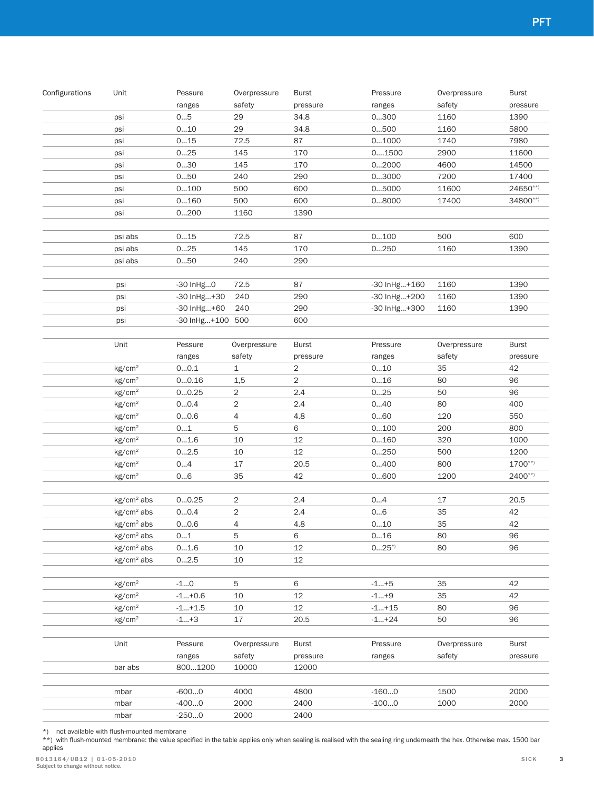| psi<br>psi<br>psi<br>psi<br>psi<br>psi<br>psi<br>psi<br>psi<br>psi abs<br>psi abs<br>psi abs | ranges<br>05<br>010<br>015<br>025<br>030<br>050<br>0100<br>0160<br>0200<br>015<br>025 | safety<br>29<br>29<br>72.5<br>145<br>145<br>240<br>500<br>500<br>1160<br>72.5 | pressure<br>34.8<br>34.8<br>87<br>170<br>170<br>290<br>600<br>600<br>1390 | ranges<br>0300<br>0500<br>01000<br>01500<br>02000<br>03000<br>05000<br>08000 | safety<br>1160<br>1160<br>1740<br>2900<br>4600<br>7200<br>11600<br>17400 | pressure<br>1390                    |
|----------------------------------------------------------------------------------------------|---------------------------------------------------------------------------------------|-------------------------------------------------------------------------------|---------------------------------------------------------------------------|------------------------------------------------------------------------------|--------------------------------------------------------------------------|-------------------------------------|
|                                                                                              |                                                                                       |                                                                               |                                                                           |                                                                              |                                                                          | 5800<br>7980                        |
|                                                                                              |                                                                                       |                                                                               |                                                                           |                                                                              |                                                                          |                                     |
|                                                                                              |                                                                                       |                                                                               |                                                                           |                                                                              |                                                                          | 11600<br>14500<br>17400<br>24650**) |
|                                                                                              |                                                                                       |                                                                               |                                                                           |                                                                              |                                                                          |                                     |
|                                                                                              |                                                                                       |                                                                               |                                                                           |                                                                              |                                                                          |                                     |
|                                                                                              |                                                                                       |                                                                               |                                                                           |                                                                              |                                                                          |                                     |
|                                                                                              |                                                                                       |                                                                               |                                                                           |                                                                              |                                                                          |                                     |
|                                                                                              |                                                                                       |                                                                               |                                                                           |                                                                              |                                                                          | 34800**)                            |
|                                                                                              |                                                                                       |                                                                               |                                                                           |                                                                              |                                                                          |                                     |
|                                                                                              |                                                                                       |                                                                               | 87                                                                        | 0100                                                                         | 500                                                                      | 600                                 |
|                                                                                              |                                                                                       | 145                                                                           | 170                                                                       | 0250                                                                         | 1160                                                                     | 1390                                |
|                                                                                              | 050                                                                                   | 240                                                                           | 290                                                                       |                                                                              |                                                                          |                                     |
|                                                                                              |                                                                                       |                                                                               |                                                                           |                                                                              |                                                                          |                                     |
| psi                                                                                          | -30 InHg0                                                                             | 72.5                                                                          | 87                                                                        | -30 InHg+160                                                                 | 1160                                                                     | 1390                                |
| psi                                                                                          | -30 InHg+30                                                                           | 240                                                                           | 290                                                                       | -30 InHg+200                                                                 | 1160                                                                     | 1390                                |
| psi                                                                                          | -30 InHg+60                                                                           | 240                                                                           | 290                                                                       | -30 InHg+300                                                                 | 1160                                                                     | 1390                                |
| psi                                                                                          | -30 InHg+100 500                                                                      |                                                                               | 600                                                                       |                                                                              |                                                                          |                                     |
| Unit                                                                                         | Pessure                                                                               | Overpressure                                                                  | <b>Burst</b>                                                              | Pressure                                                                     | Overpressure                                                             | <b>Burst</b>                        |
|                                                                                              | ranges                                                                                | safety                                                                        | pressure                                                                  | ranges                                                                       | safety                                                                   | pressure                            |
| kg/cm <sup>2</sup>                                                                           | 00.1                                                                                  | $\mathbf 1$                                                                   | $\overline{c}$                                                            | 010                                                                          | 35                                                                       | 42                                  |
| kg/cm <sup>2</sup>                                                                           | 00.16                                                                                 | 1,5                                                                           | $\overline{2}$                                                            | 016                                                                          | 80                                                                       | 96                                  |
| kg/cm <sup>2</sup>                                                                           | 00.25                                                                                 | 2                                                                             | 2.4                                                                       | 025                                                                          | 50                                                                       | 96                                  |
| kg/cm <sup>2</sup>                                                                           | 00.4                                                                                  | $\mathbf{2}$                                                                  | 2.4                                                                       | 040                                                                          | 80                                                                       | 400                                 |
| kg/cm <sup>2</sup>                                                                           | 00.6                                                                                  | $\overline{4}$                                                                | $4.8\,$                                                                   | 060                                                                          | 120                                                                      | 550                                 |
| kg/cm <sup>2</sup>                                                                           | 01                                                                                    | 5                                                                             | 6                                                                         | 0100                                                                         | 200                                                                      | 800                                 |
| kg/cm <sup>2</sup>                                                                           | 01.6                                                                                  | $10\,$                                                                        | $12\,$                                                                    | 0160                                                                         | 320                                                                      | 1000                                |
| kg/cm <sup>2</sup>                                                                           | 02.5                                                                                  | $10\,$                                                                        | $12\,$                                                                    | 0250                                                                         | 500                                                                      | 1200                                |
| kg/cm <sup>2</sup>                                                                           | 04                                                                                    | $17\,$                                                                        | 20.5                                                                      | 0400                                                                         | 800                                                                      | $1700***$                           |
| kg/cm <sup>2</sup>                                                                           | 06                                                                                    | 35                                                                            | 42                                                                        | 0600                                                                         | 1200                                                                     | $2400**$                            |
| kg/cm <sup>2</sup> abs                                                                       | 00.25                                                                                 | $\overline{2}$                                                                | 2.4                                                                       | 04                                                                           | $17$                                                                     | 20.5                                |
| kg/cm <sup>2</sup> abs                                                                       | 00.4                                                                                  | $\overline{c}$                                                                | $2.4\,$                                                                   | 06                                                                           | 35                                                                       | 42                                  |
| kg/cm <sup>2</sup> abs                                                                       | 00.6                                                                                  | 4                                                                             | 4.8                                                                       | 010                                                                          | 35                                                                       | 42                                  |
| kg/cm <sup>2</sup> abs                                                                       | 01                                                                                    | 5                                                                             | 6                                                                         | 0…16                                                                         | 80                                                                       | 96                                  |
| $kg/cm2$ abs                                                                                 | 01.6                                                                                  | 10                                                                            | 12                                                                        | $025^{*}$                                                                    | 80                                                                       | 96                                  |
| kg/cm <sup>2</sup> abs                                                                       | 02.5                                                                                  | 10                                                                            | 12                                                                        |                                                                              |                                                                          |                                     |
| kg/cm <sup>2</sup>                                                                           | $-10$                                                                                 | 5                                                                             | 6                                                                         | -1…+5                                                                        | 35                                                                       | 42                                  |
| kg/cm <sup>2</sup>                                                                           | $-1+0.6$                                                                              | 10                                                                            | 12                                                                        | $-1+9$                                                                       | 35                                                                       | 42                                  |
| kg/cm <sup>2</sup>                                                                           | $-1+1.5$                                                                              | 10                                                                            | 12                                                                        | $-1+15$                                                                      | 80                                                                       | 96                                  |
| kg/cm <sup>2</sup>                                                                           | $-1+3$                                                                                | 17                                                                            | 20.5                                                                      | $-1+24$                                                                      | 50                                                                       | 96                                  |
| Unit                                                                                         | Pessure                                                                               | Overpressure                                                                  | Burst                                                                     | Pressure                                                                     | Overpressure                                                             | <b>Burst</b>                        |
|                                                                                              | ranges                                                                                | safety                                                                        | pressure                                                                  | ranges                                                                       | safety                                                                   | pressure                            |
| bar abs                                                                                      | 8001200                                                                               | 10000                                                                         | 12000                                                                     |                                                                              |                                                                          |                                     |
|                                                                                              |                                                                                       |                                                                               |                                                                           |                                                                              |                                                                          |                                     |
| mbar                                                                                         | $-6000$                                                                               | 4000                                                                          | 4800                                                                      | $-1600$                                                                      | 1500                                                                     | 2000                                |
| mbar<br>mbar                                                                                 | $-4000$<br>$-2500$                                                                    | 2000<br>2000                                                                  | 2400<br>2400                                                              | $-1000$                                                                      | 1000                                                                     | 2000                                |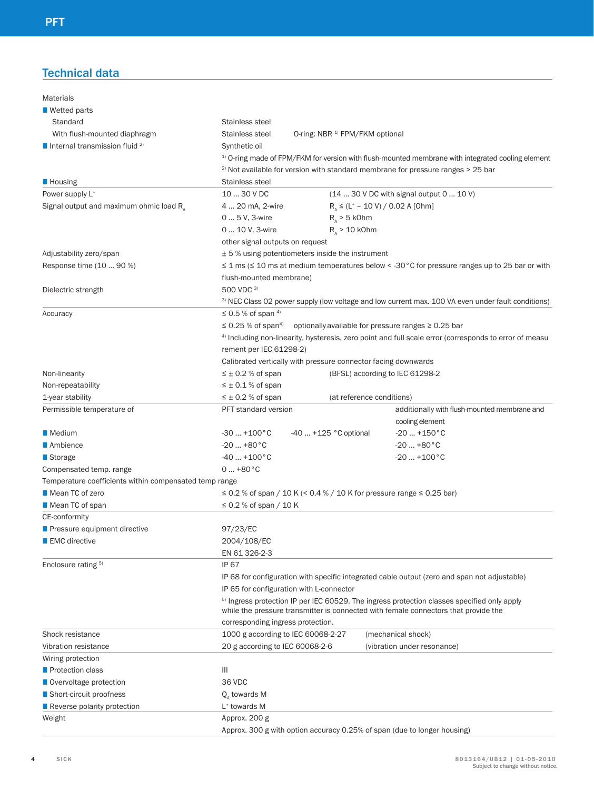## Technical data

| <b>Materials</b>                                       |                                                                          |                                                                                                                                                                                               |
|--------------------------------------------------------|--------------------------------------------------------------------------|-----------------------------------------------------------------------------------------------------------------------------------------------------------------------------------------------|
| $\blacksquare$ Wetted parts                            |                                                                          |                                                                                                                                                                                               |
| Standard                                               | Stainless steel                                                          |                                                                                                                                                                                               |
| With flush-mounted diaphragm                           | Stainless steel<br>O-ring: NBR <sup>1)</sup> FPM/FKM optional            |                                                                                                                                                                                               |
| Internal transmission fluid $^{2)}$                    | Synthetic oil                                                            |                                                                                                                                                                                               |
|                                                        |                                                                          | <sup>1)</sup> O-ring made of FPM/FKM for version with flush-mounted membrane with integrated cooling element                                                                                  |
|                                                        |                                                                          | $2)$ Not available for version with standard membrane for pressure ranges $>$ 25 bar                                                                                                          |
| <b>Housing</b>                                         | Stainless steel                                                          |                                                                                                                                                                                               |
| Power supply L <sup>+</sup>                            | 10  30 V DC                                                              | (14  30 V DC with signal output 0  10 V)                                                                                                                                                      |
| Signal output and maximum ohmic load $R_A$             | 4  20 mA, 2-wire                                                         | $R_{\Delta} \leq (L^{+} - 10 \text{ V}) / 0.02 \text{ A}$ [Ohm]                                                                                                                               |
|                                                        | 0  5 V, 3-wire<br>$R_{x}$ > 5 kOhm                                       |                                                                                                                                                                                               |
|                                                        | 0  10 V, 3-wire<br>$R_{\Lambda}$ > 10 kOhm                               |                                                                                                                                                                                               |
|                                                        | other signal outputs on request                                          |                                                                                                                                                                                               |
| Adjustability zero/span                                | $\pm$ 5 % using potentiometers inside the instrument                     |                                                                                                                                                                                               |
| Response time (10  90 %)                               |                                                                          | $\leq$ 1 ms ( $\leq$ 10 ms at medium temperatures below < -30 °C for pressure ranges up to 25 bar or with                                                                                     |
|                                                        | flush-mounted membrane)                                                  |                                                                                                                                                                                               |
| Dielectric strength                                    | 500 VDC 3)                                                               |                                                                                                                                                                                               |
|                                                        |                                                                          | <sup>3)</sup> NEC Class 02 power supply (low voltage and low current max. 100 VA even under fault conditions)                                                                                 |
| Accuracy                                               | $\leq$ 0.5 % of span 4)                                                  |                                                                                                                                                                                               |
|                                                        | $\leq$ 0.25 % of span <sup>4)</sup>                                      | optionally available for pressure ranges ≥ 0.25 bar                                                                                                                                           |
|                                                        |                                                                          | 4) Including non-linearity, hysteresis, zero point and full scale error (corresponds to error of measu                                                                                        |
|                                                        | rement per IEC 61298-2)                                                  |                                                                                                                                                                                               |
|                                                        | Calibrated vertically with pressure connector facing downwards           |                                                                                                                                                                                               |
| Non-linearity                                          | $\leq \pm 0.2$ % of span                                                 | (BFSL) according to IEC 61298-2                                                                                                                                                               |
| Non-repeatability                                      | $\leq \pm 0.1$ % of span                                                 |                                                                                                                                                                                               |
| 1-year stability                                       | $\leq \pm 0.2$ % of span                                                 | (at reference conditions)                                                                                                                                                                     |
| Permissible temperature of                             | PFT standard version                                                     | additionally with flush-mounted membrane and                                                                                                                                                  |
|                                                        |                                                                          | cooling element                                                                                                                                                                               |
| Medium                                                 | -40  +125 °C optional<br>$-30+100°C$                                     | $-20+150^{\circ}C$                                                                                                                                                                            |
| ■ Ambience                                             | $-20+80°C$                                                               | $-20+80°C$                                                                                                                                                                                    |
| ■ Storage                                              | $-40+100°C$                                                              | $-20$ $+100$ °C                                                                                                                                                                               |
| Compensated temp. range                                | $0+80°C$                                                                 |                                                                                                                                                                                               |
| Temperature coefficients within compensated temp range |                                                                          |                                                                                                                                                                                               |
| Mean TC of zero                                        | ≤ 0.2 % of span / 10 K (< 0.4 % / 10 K for pressure range ≤ 0.25 bar)    |                                                                                                                                                                                               |
| Mean TC of span                                        | $\leq$ 0.2 % of span / 10 K                                              |                                                                                                                                                                                               |
| CE-conformity                                          |                                                                          |                                                                                                                                                                                               |
| Pressure equipment directive                           | 97/23/EC                                                                 |                                                                                                                                                                                               |
| ■ EMC directive                                        | 2004/108/EC                                                              |                                                                                                                                                                                               |
|                                                        | EN 61 326-2-3                                                            |                                                                                                                                                                                               |
| Enclosure rating 5)                                    | <b>IP 67</b>                                                             |                                                                                                                                                                                               |
|                                                        |                                                                          | IP 68 for configuration with specific integrated cable output (zero and span not adjustable)                                                                                                  |
|                                                        | IP 65 for configuration with L-connector                                 |                                                                                                                                                                                               |
|                                                        |                                                                          | <sup>5)</sup> Ingress protection IP per IEC 60529. The ingress protection classes specified only apply<br>while the pressure transmitter is connected with female connectors that provide the |
|                                                        | corresponding ingress protection.                                        |                                                                                                                                                                                               |
| Shock resistance                                       | 1000 g according to IEC 60068-2-27                                       | (mechanical shock)                                                                                                                                                                            |
| Vibration resistance                                   | 20 g according to IEC 60068-2-6                                          | (vibration under resonance)                                                                                                                                                                   |
| Wiring protection                                      |                                                                          |                                                                                                                                                                                               |
| <b>Protection class</b>                                | Ш                                                                        |                                                                                                                                                                                               |
| Overvoltage protection                                 | 36 VDC                                                                   |                                                                                                                                                                                               |
| ■ Short-circuit proofness                              | Q, towards M                                                             |                                                                                                                                                                                               |
| Reverse polarity protection                            | L <sup>+</sup> towards M                                                 |                                                                                                                                                                                               |
| Weight                                                 | Approx. 200 g                                                            |                                                                                                                                                                                               |
|                                                        | Approx. 300 g with option accuracy 0.25% of span (due to longer housing) |                                                                                                                                                                                               |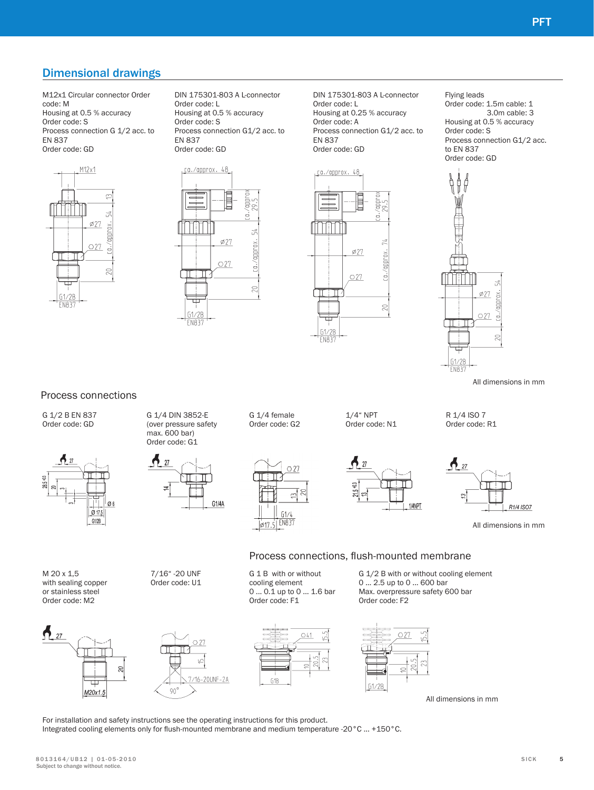## Dimensional drawings

M12x1 Circular connector Order code: M Housing at 0.5 % accuracy Order code: S Process connection G 1/2 acc. to EN 837 Order code: GD



DIN 175301-803 A L-connector Order code: L Housing at 0.5 % accuracy Order code: S Process connection G1/2 acc. to EN 837 Order code: GD

E

 $\phi$ 27

 $O27$ 

xouddy/rol

 $\subseteq$ 

<u>ca./approx. 48</u>

⋢

61/2P FN83'

DIN 175301-803 A L-connector Order code: L Housing at 0.25 % accuracy Order code: A Process connection G1/2 acc. to EN 837 Order code: GD



Flying leads Order code: 1.5m cable: 1 3.0m cable: 3 Housing at 0.5 % accuracy Order code: S Process connection G1/2 acc. to EN 837 Order code: GD



All dimensions in mm

R1/4 ISO7

### Process connections



For installation and safety instructions see the operating instructions for this product. Integrated cooling elements only for flush-mounted membrane and medium temperature -20°C ... +150°C.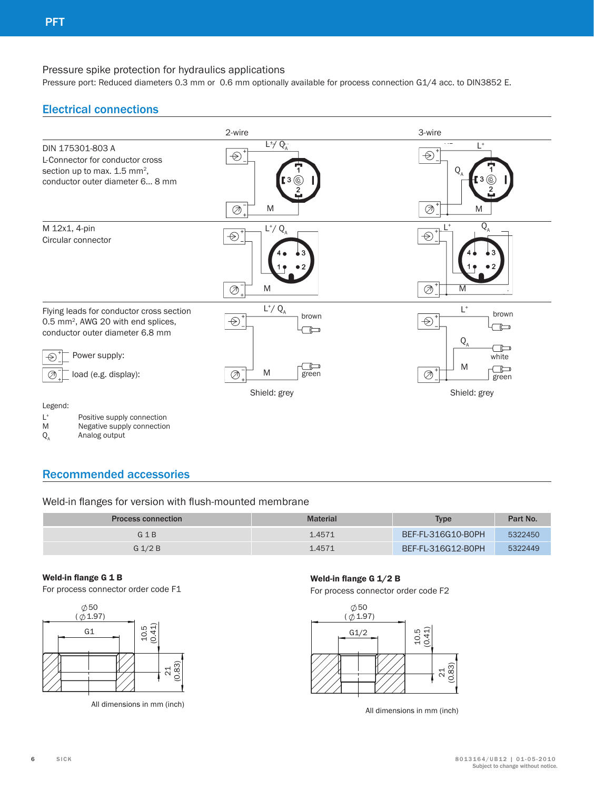## Pressure spike protection for hydraulics applications

Pressure port: Reduced diameters 0.3 mm or 0.6 mm optionally available for process connection G1/4 acc. to DIN3852 E.

# Electrical connections



## Recommended accessories

## Weld-in flanges for version with flush-mounted membrane

| <b>Process connection</b> | <b>Material</b> | <b>Type</b>        | Part No. |
|---------------------------|-----------------|--------------------|----------|
| $G$ 1 B                   | 1.4571          | BEF-FL-316G10-B0PH | 5322450  |
| $G$ 1/2 B                 | 1.4571          | BEF-FL-316G12-B0PH | 5322449  |

#### **Weld-in flange G 1 B**

For process connector order code F1



All dimensions in mm (inch)

#### **Weld-in flange G 1/2 B**

For process connector order code F2



All dimensions in mm (inch)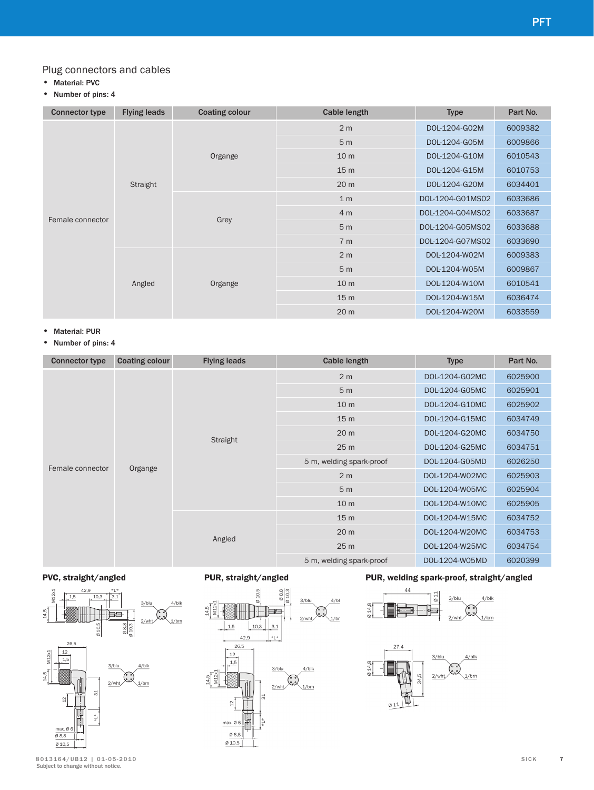## Plug connectors and cables

- Material: PVC
- Number of pins: 4

| <b>Connector type</b> | <b>Flying leads</b> | <b>Coating colour</b> | <b>Cable length</b> | <b>Type</b>      | Part No. |
|-----------------------|---------------------|-----------------------|---------------------|------------------|----------|
|                       |                     |                       | 2 <sub>m</sub>      | DOL-1204-G02M    | 6009382  |
|                       |                     |                       | 5 <sub>m</sub>      | DOL-1204-G05M    | 6009866  |
|                       |                     | Organge               | 10 <sub>m</sub>     | DOL-1204-G10M    | 6010543  |
|                       |                     |                       | 15 <sub>m</sub>     | DOL-1204-G15M    | 6010753  |
|                       | Straight            |                       | 20 <sub>m</sub>     | DOL-1204-G20M    | 6034401  |
|                       |                     |                       | 1 <sub>m</sub>      | DOL-1204-G01MS02 | 6033686  |
|                       |                     |                       | 4 <sub>m</sub>      | DOL-1204-G04MS02 | 6033687  |
| Female connector      |                     | Grey                  | 5 <sub>m</sub>      | DOL-1204-G05MS02 | 6033688  |
|                       |                     |                       | 7 <sub>m</sub>      | DOL-1204-G07MS02 | 6033690  |
|                       |                     |                       | 2 <sub>m</sub>      | DOL-1204-W02M    | 6009383  |
|                       |                     |                       | 5 <sub>m</sub>      | DOL-1204-W05M    | 6009867  |
|                       | Angled              | Organge               | 10 <sub>m</sub>     | DOL-1204-W10M    | 6010541  |
|                       |                     |                       | 15 <sub>m</sub>     | DOL-1204-W15M    | 6036474  |
|                       |                     |                       | 20 <sub>m</sub>     | DOL-1204-W20M    | 6033559  |

- Material: PUR
- Number of pins: 4

| <b>Connector type</b> | <b>Coating colour</b> | <b>Flying leads</b> | <b>Cable length</b>      | <b>Type</b>    | Part No.                                                                  |
|-----------------------|-----------------------|---------------------|--------------------------|----------------|---------------------------------------------------------------------------|
|                       |                       |                     | 2 <sub>m</sub>           | DOL-1204-G02MC | 6025900                                                                   |
|                       |                       |                     | 5 <sub>m</sub>           | DOL-1204-G05MC | 6025901                                                                   |
|                       |                       |                     | 10 <sub>m</sub>          | DOL-1204-G10MC | 6025902                                                                   |
|                       |                       |                     | 15 <sub>m</sub>          | DOL-1204-G15MC | 6034749                                                                   |
|                       |                       |                     | 20 <sub>m</sub>          | DOL-1204-G20MC | 6034750                                                                   |
|                       |                       | Straight            | 25 <sub>m</sub>          | DOL-1204-G25MC | 6034751<br>6026250<br>6025903<br>6025904<br>6025905<br>6034752<br>6034753 |
|                       |                       |                     | 5 m, welding spark-proof | DOL-1204-G05MD |                                                                           |
| Female connector      | Organge               |                     | 2 <sub>m</sub>           | DOL-1204-W02MC |                                                                           |
|                       |                       |                     | 5 <sub>m</sub>           | DOL-1204-W05MC |                                                                           |
|                       |                       |                     | 10 <sub>m</sub>          | DOL-1204-W10MC |                                                                           |
|                       |                       |                     | 15 <sub>m</sub>          | DOL-1204-W15MC |                                                                           |
|                       |                       |                     | 20 <sub>m</sub>          | DOL-1204-W20MC |                                                                           |
|                       |                       | Angled              | 25 <sub>m</sub>          | DOL-1204-W25MC | 6034754                                                                   |
|                       |                       |                     | 5 m, welding spark-proof | DOL-1204-W05MD | 6020399                                                                   |

 $4/b$ 





## **PVC, straight/angled PUR, straight/angled PUR, welding spark-proof, straight/angled**



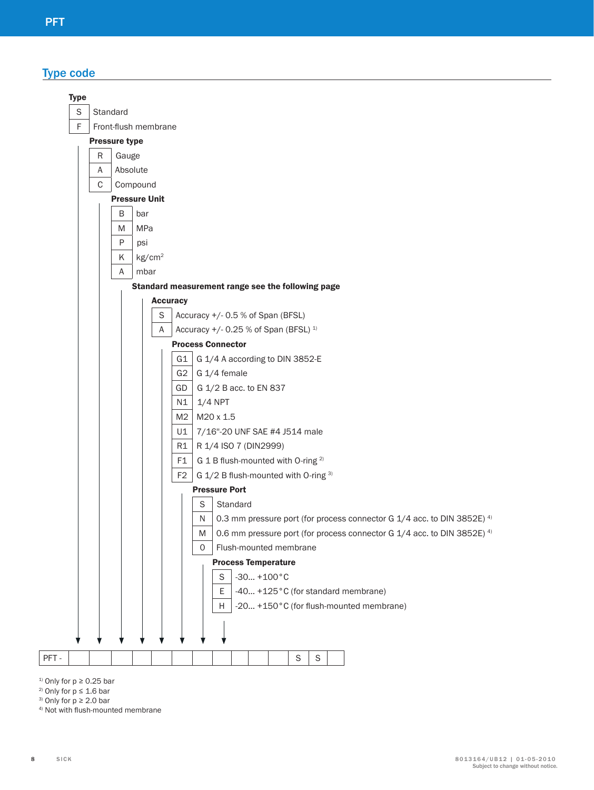Type code



<sup>1)</sup> Only for  $p \ge 0.25$  bar

- <sup>2)</sup> Only for  $p \le 1.6$  bar
- <sup>3)</sup> Only for  $p \ge 2.0$  bar
- 4) Not with flush-mounted membrane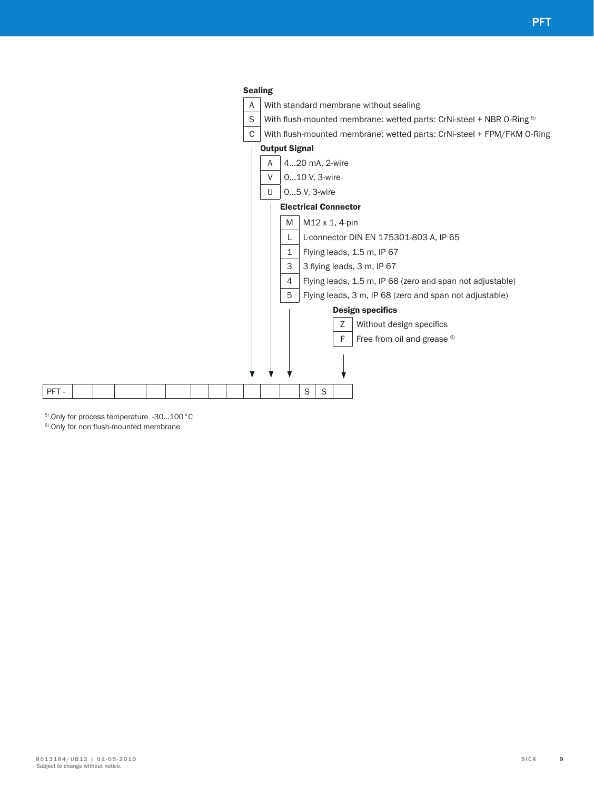

5) Only for process temperature -30…100°C

6) Only for non flush-mounted membrane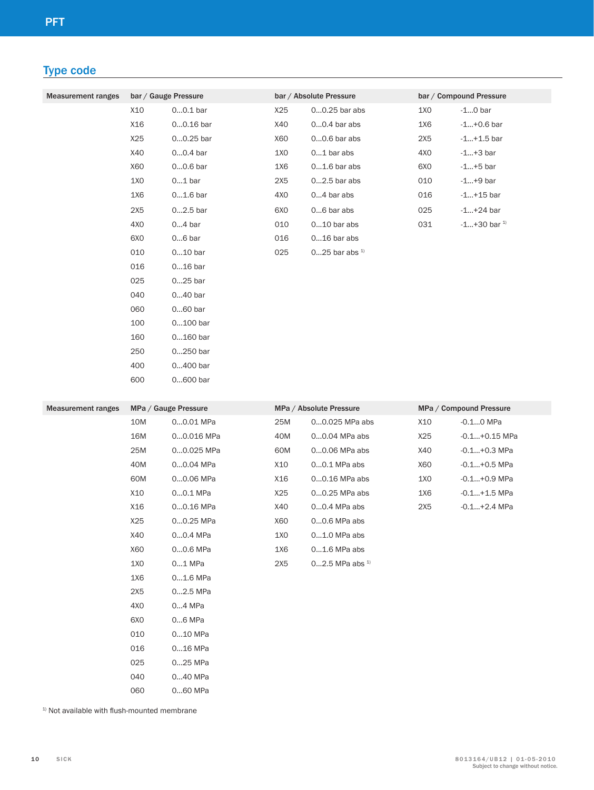# Type code

| <b>Measurement ranges</b> | bar / Gauge Pressure |             | bar / Absolute Pressure |                      | bar / Compound Pressure |                     |
|---------------------------|----------------------|-------------|-------------------------|----------------------|-------------------------|---------------------|
|                           | X10                  | $00.1$ bar  | X25                     | $00.25$ bar abs      | 1X0                     | $-10$ bar           |
|                           | X16                  | $00.16$ bar | X40                     | $00.4$ bar abs       | 1X6                     | $-1+0.6$ bar        |
|                           | X25                  | $00.25$ bar | X60                     | $00.6$ bar abs       | 2X5                     | $-1+1.5$ bar        |
|                           | X40                  | $00.4$ bar  | 1X <sub>0</sub>         | $01$ bar abs         | 4X0                     | $-1+3$ bar          |
|                           | X60                  | $00.6$ bar  | 1X6                     | $01.6$ bar abs       | 6X <sub>0</sub>         | $-1+5$ bar          |
|                           | 1X0                  | $01$ bar    | 2X5                     | $02.5$ bar abs       | 010                     | $-1+9$ bar          |
|                           | 1X6                  | $01.6$ bar  | 4X <sub>0</sub>         | $04$ bar abs         | 016                     | $-1+15$ bar         |
|                           | 2X5                  | $02.5$ bar  | 6X <sub>0</sub>         | $06$ bar abs         | 025                     | $-1+24$ bar         |
|                           | 4X <sub>0</sub>      | $04$ bar    | 010                     | $010$ bar abs        | 031                     | $-1+30$ bar $^{1)}$ |
|                           | 6X <sub>0</sub>      | $06$ bar    | 016                     | $016$ bar abs        |                         |                     |
|                           | 010                  | $010$ bar   | 025                     | $025$ bar abs $^{1}$ |                         |                     |
|                           | 016                  | $016$ bar   |                         |                      |                         |                     |
|                           | 025                  | $025$ bar   |                         |                      |                         |                     |
|                           | 040                  | $040$ bar   |                         |                      |                         |                     |
|                           | 060                  | $060$ bar   |                         |                      |                         |                     |
|                           | 100                  | $0100$ bar  |                         |                      |                         |                     |
|                           | 160                  | $0160$ bar  |                         |                      |                         |                     |

250 0...250 bar 400 0...400 bar 600 0...600 bar

| <b>Measurement ranges</b> |                 | MPa / Gauge Pressure |     | MPa / Absolute Pressure      |     | MPa / Compound Pressure |
|---------------------------|-----------------|----------------------|-----|------------------------------|-----|-------------------------|
|                           | 10M             | 00.01 MPa            | 25M | 00.025 MPa abs               | X10 | $-0.10$ MPa             |
|                           | 16M             | 00.016 MPa           | 40M | 00.04 MPa abs                | X25 | $-0.1+0.15$ MPa         |
|                           | 25M             | 00.025 MPa           | 60M | 00.06 MPa abs                | X40 | $-0.1+0.3$ MPa          |
|                           | 40M             | 00.04 MPa            | X10 | 00.1 MPa abs                 | X60 | $-0.1+0.5$ MPa          |
|                           | 60M             | 00.06 MPa            | X16 | 00.16 MPa abs                | 1X0 | $-0.1+0.9$ MPa          |
|                           | X10             | $00.1$ MPa           | X25 | 00.25 MPa abs                | 1X6 | $-0.1+1.5$ MPa          |
|                           | X16             | 00.16 MPa            | X40 | 00.4 MPa abs                 | 2X5 | $-0.1+2.4$ MPa          |
|                           | X25             | 00.25 MPa            | X60 | 00.6 MPa abs                 |     |                         |
|                           | X40             | 00.4 MPa             | 1X0 | $01.0$ MPa abs               |     |                         |
|                           | X60             | 00.6 MPa             | 1X6 | $01.6$ MPa abs               |     |                         |
|                           | 1X0             | 01 MPa               | 2X5 | $02.5$ MPa abs <sup>1)</sup> |     |                         |
|                           | 1X6             | $01.6$ MPa           |     |                              |     |                         |
|                           | 2X5             | 02.5 MPa             |     |                              |     |                         |
|                           | 4X <sub>0</sub> | 04 MPa               |     |                              |     |                         |
|                           | 6X <sub>0</sub> | 06 MPa               |     |                              |     |                         |
|                           | 010             | 010 MPa              |     |                              |     |                         |
|                           | 016             | 016 MPa              |     |                              |     |                         |
|                           | 025             | 025 MPa              |     |                              |     |                         |
|                           |                 |                      |     |                              |     |                         |

040 0...40 MPa

060 0...60 MPa

 $^{1)}$  Not available with flush-mounted membrane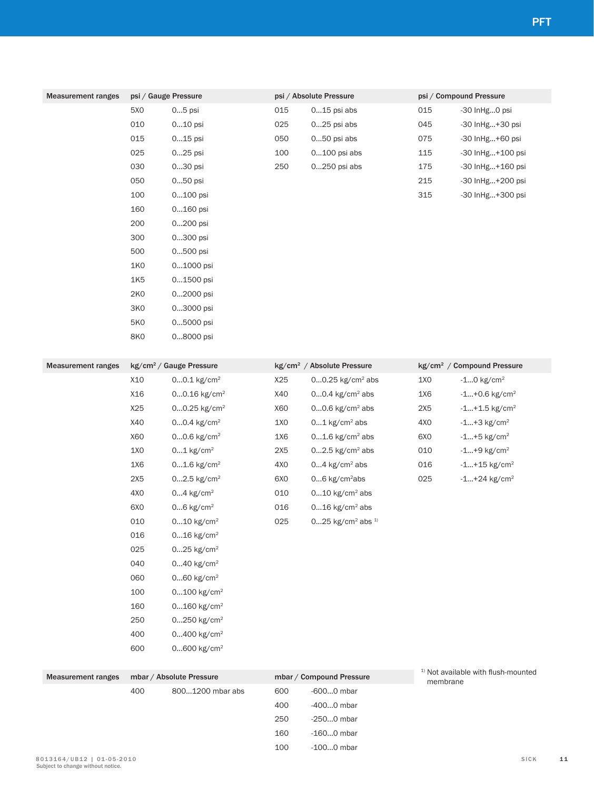| <b>Measurement ranges</b> | psi / Gauge Pressure |                                     |                 | psi / Absolute Pressure                    | psi / Compound Pressure |                                                |  |
|---------------------------|----------------------|-------------------------------------|-----------------|--------------------------------------------|-------------------------|------------------------------------------------|--|
|                           | 5X0                  | $05$ psi                            | 015             | $015$ psi abs                              | 015                     | -30 InHg0 psi                                  |  |
|                           | 010                  | 010 psi                             | 025             | 025 psi abs                                | 045                     | -30 InHg+30 psi                                |  |
|                           | 015                  | $015$ psi                           | 050             | 050 psi abs                                | 075                     | -30 InHg+60 psi                                |  |
|                           | 025                  | 025 psi                             | 100             | 0100 psi abs                               | 115                     | -30 InHg+100 psi                               |  |
|                           | 030                  | 030 psi                             | 250             | 0250 psi abs                               | 175                     | -30 InHg+160 psi                               |  |
|                           | 050                  | 050 psi                             |                 |                                            | 215                     | -30 InHg+200 psi                               |  |
|                           | 100                  | 0100 psi                            |                 |                                            | 315                     | -30 InHg+300 psi                               |  |
|                           | 160                  | 0160 psi                            |                 |                                            |                         |                                                |  |
|                           | 200                  | 0200 psi                            |                 |                                            |                         |                                                |  |
|                           | 300                  | 0300 psi                            |                 |                                            |                         |                                                |  |
|                           | 500                  | 0500 psi                            |                 |                                            |                         |                                                |  |
|                           | <b>1K0</b>           | 01000 psi                           |                 |                                            |                         |                                                |  |
|                           | 1K5                  | 01500 psi                           |                 |                                            |                         |                                                |  |
|                           | <b>2K0</b>           | 02000 psi                           |                 |                                            |                         |                                                |  |
|                           | <b>3K0</b>           | 03000 psi                           |                 |                                            |                         |                                                |  |
|                           | <b>5K0</b>           | 05000 psi                           |                 |                                            |                         |                                                |  |
|                           | <b>8K0</b>           | 08000 psi                           |                 |                                            |                         |                                                |  |
|                           |                      |                                     |                 |                                            |                         |                                                |  |
| <b>Measurement ranges</b> |                      | kg/cm <sup>2</sup> / Gauge Pressure |                 | kg/cm <sup>2</sup> / Absolute Pressure     |                         | kg/cm <sup>2</sup> / Compound Pressure         |  |
|                           | X10                  | $00.1$ kg/cm <sup>2</sup>           | X25             | $00.25$ kg/cm <sup>2</sup> abs             | 1X0                     | $-10$ kg/cm <sup>2</sup>                       |  |
|                           | X16                  | 00.16 kg/cm <sup>2</sup>            | X40             | $00.4$ kg/cm <sup>2</sup> abs              | 1X6                     | $-1+0.6$ kg/cm <sup>2</sup>                    |  |
|                           | X25                  | $00.25$ kg/cm <sup>2</sup>          | X60             | $00.6$ kg/cm <sup>2</sup> abs              | 2X5                     | $-1+1.5$ kg/cm <sup>2</sup>                    |  |
|                           | X40                  | $00.4$ kg/cm <sup>2</sup>           | 1X0             | $01$ kg/cm <sup>2</sup> abs                | 4X0                     | $-1+3$ kg/cm <sup>2</sup>                      |  |
|                           | X60                  | $00.6$ kg/cm <sup>2</sup>           | 1X6             | $01.6$ kg/cm <sup>2</sup> abs              | 6X <sub>0</sub>         | $-1+5$ kg/cm <sup>2</sup>                      |  |
|                           | 1X0                  | $01$ kg/cm <sup>2</sup>             | 2X5             | $02.5$ kg/cm <sup>2</sup> abs              | 010                     | $-1+9$ kg/cm <sup>2</sup>                      |  |
|                           | 1X6                  | $01.6$ kg/cm <sup>2</sup>           | 4X <sub>0</sub> | $04$ kg/cm <sup>2</sup> abs                | 016                     | $-1+15$ kg/cm <sup>2</sup>                     |  |
|                           | 2X5                  | $02.5$ kg/cm <sup>2</sup>           | 6X <sub>0</sub> | $06$ kg/cm <sup>2</sup> abs                | 025                     | $-1+24$ kg/cm <sup>2</sup>                     |  |
|                           | 4X0                  | $04$ kg/cm <sup>2</sup>             | 010             | $010$ kg/cm <sup>2</sup> abs               |                         |                                                |  |
|                           | 6X <sub>0</sub>      | $06$ kg/cm <sup>2</sup>             | 016             | $016$ kg/cm <sup>2</sup> abs               |                         |                                                |  |
|                           | 010                  | $010$ kg/cm <sup>2</sup>            | 025             | $025$ kg/cm <sup>2</sup> abs <sup>1)</sup> |                         |                                                |  |
|                           | 016                  | $016$ kg/cm <sup>2</sup>            |                 |                                            |                         |                                                |  |
|                           | 025                  | $025$ kg/cm <sup>2</sup>            |                 |                                            |                         |                                                |  |
|                           | 040                  | $040$ kg/cm <sup>2</sup>            |                 |                                            |                         |                                                |  |
|                           | 060                  | $060$ kg/cm <sup>2</sup>            |                 |                                            |                         |                                                |  |
|                           | 100                  | $0100$ kg/cm <sup>2</sup>           |                 |                                            |                         |                                                |  |
|                           | 160                  | $0160$ kg/cm <sup>2</sup>           |                 |                                            |                         |                                                |  |
|                           | 250                  | $0250$ kg/cm <sup>2</sup>           |                 |                                            |                         |                                                |  |
|                           | 400                  | 0400 kg/cm <sup>2</sup>             |                 |                                            |                         |                                                |  |
|                           | 600                  | $0600$ kg/cm <sup>2</sup>           |                 |                                            |                         |                                                |  |
|                           |                      |                                     |                 |                                            |                         | <sup>1)</sup> Not available with flush-mounted |  |
| <b>Measurement ranges</b> |                      | mbar / Absolute Pressure            |                 | mbar / Compound Pressure                   | membrane                |                                                |  |
|                           | 400                  | 8001200 mbar abs                    | 600             | -6000 mbar                                 |                         |                                                |  |

 -400...0 mbar -250...0 mbar -160...0 mbar -100...0 mbar